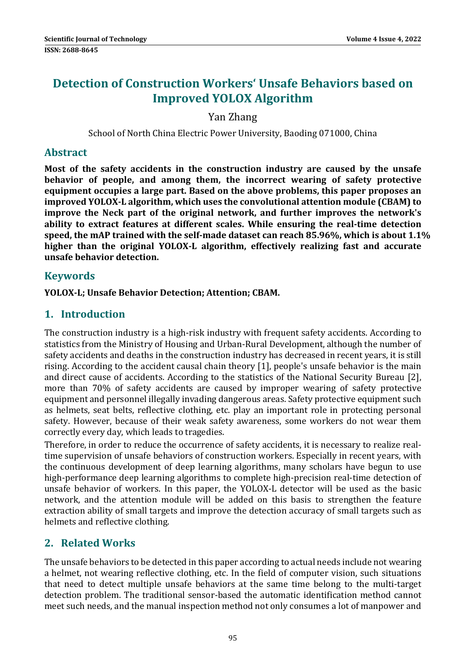# **Detection of Construction Workers' Unsafe Behaviors based on Improved YOLOX Algorithm**

Yan Zhang 

School of North China Electric Power University, Baoding 071000, China

### **Abstract**

**Most of the safety accidents in the construction industry are caused by the unsafe behavior of people, and among them, the incorrect wearing of safety protective equipment occupies a large part. Based on the above problems, this paper proposes an improved YOLOX‐L algorithm, which uses the convolutional attention module (CBAM) to improve the Neck part of the original network, and further improves the network's ability to extract features at different scales. While ensuring the real‐time detection speed, the mAP trained with the self‐made dataset can reach 85.96%, which is about 1.1% higher than the original YOLOX‐L algorithm, effectively realizing fast and accurate unsafe behavior detection.**

### **Keywords**

**YOLOX‐L; Unsafe Behavior Detection; Attention; CBAM.**

### **1. Introduction**

The construction industry is a high-risk industry with frequent safety accidents. According to statistics from the Ministry of Housing and Urban-Rural Development, although the number of safety accidents and deaths in the construction industry has decreased in recent years, it is still rising. According to the accident causal chain theory  $[1]$ , people's unsafe behavior is the main and direct cause of accidents. According to the statistics of the National Security Bureau [2], more than 70% of safety accidents are caused by improper wearing of safety protective equipment and personnel illegally invading dangerous areas. Safety protective equipment such as helmets, seat belts, reflective clothing, etc. play an important role in protecting personal safety. However, because of their weak safety awareness, some workers do not wear them correctly every day, which leads to tragedies.

Therefore, in order to reduce the occurrence of safety accidents, it is necessary to realize realtime supervision of unsafe behaviors of construction workers. Especially in recent years, with the continuous development of deep learning algorithms, many scholars have begun to use high-performance deep learning algorithms to complete high-precision real-time detection of unsafe behavior of workers. In this paper, the YOLOX-L detector will be used as the basic network, and the attention module will be added on this basis to strengthen the feature extraction ability of small targets and improve the detection accuracy of small targets such as helmets and reflective clothing.

## **2. Related Works**

The unsafe behaviors to be detected in this paper according to actual needs include not wearing a helmet, not wearing reflective clothing, etc. In the field of computer vision, such situations that need to detect multiple unsafe behaviors at the same time belong to the multi-target detection problem. The traditional sensor-based the automatic identification method cannot meet such needs, and the manual inspection method not only consumes a lot of manpower and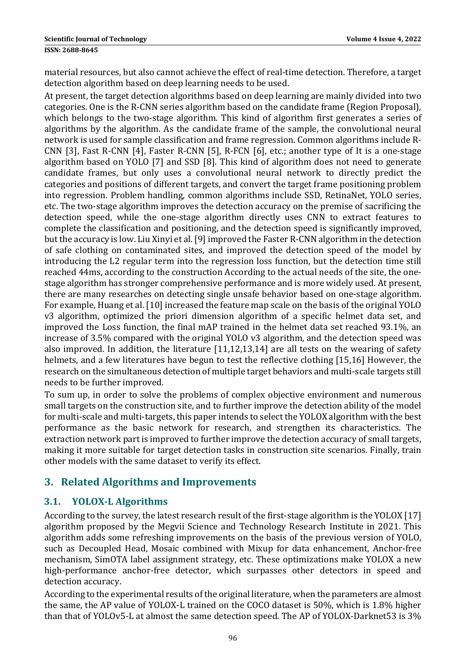material resources, but also cannot achieve the effect of real-time detection. Therefore, a target detection algorithm based on deep learning needs to be used.

At present, the target detection algorithms based on deep learning are mainly divided into two categories. One is the R-CNN series algorithm based on the candidate frame (Region Proposal), which belongs to the two-stage algorithm. This kind of algorithm first generates a series of algorithms by the algorithm. As the candidate frame of the sample, the convolutional neural network is used for sample classification and frame regression. Common algorithms include R-CNN [3], Fast R-CNN [4], Faster R-CNN [5], R-FCN [6], etc.; another type of It is a one-stage algorithm based on YOLO [7] and SSD [8]. This kind of algorithm does not need to generate candidate frames, but only uses a convolutional neural network to directly predict the categories and positions of different targets, and convert the target frame positioning problem into regression. Problem handling, common algorithms include SSD, RetinaNet, YOLO series, etc. The two-stage algorithm improves the detection accuracy on the premise of sacrificing the detection speed, while the one-stage algorithm directly uses CNN to extract features to complete the classification and positioning, and the detection speed is significantly improved, but the accuracy is low. Liu Xinyi et al. [9] improved the Faster R-CNN algorithm in the detection of safe clothing on contaminated sites, and improved the detection speed of the model by introducing the L2 regular term into the regression loss function, but the detection time still reached 44ms, according to the construction According to the actual needs of the site, the onestage algorithm has stronger comprehensive performance and is more widely used. At present, there are many researches on detecting single unsafe behavior based on one-stage algorithm. For example, Huang et al. [10] increased the feature map scale on the basis of the original YOLO v3 algorithm, optimized the priori dimension algorithm of a specific helmet data set, and improved the Loss function, the final mAP trained in the helmet data set reached 93.1%, an increase of 3.5% compared with the original YOLO v3 algorithm, and the detection speed was also improved. In addition, the literature  $[11,12,13,14]$  are all tests on the wearing of safety helmets, and a few literatures have begun to test the reflective clothing [15,16] However, the research on the simultaneous detection of multiple target behaviors and multi-scale targets still needs to be further improved.

To sum up, in order to solve the problems of complex objective environment and numerous small targets on the construction site, and to further improve the detection ability of the model for multi-scale and multi-targets, this paper intends to select the YOLOX algorithm with the best performance as the basic network for research, and strengthen its characteristics. The extraction network part is improved to further improve the detection accuracy of small targets, making it more suitable for target detection tasks in construction site scenarios. Finally, train other models with the same dataset to verify its effect.

## **3. Related Algorithms and Improvements**

### **3.1. YOLOX‐L Algorithms**

According to the survey, the latest research result of the first-stage algorithm is the YOLOX [17] algorithm proposed by the Megvii Science and Technology Research Institute in 2021. This algorithm adds some refreshing improvements on the basis of the previous version of YOLO, such as Decoupled Head, Mosaic combined with Mixup for data enhancement, Anchor-free mechanism, SimOTA label assignment strategy, etc. These optimizations make YOLOX a new high-performance anchor-free detector, which surpasses other detectors in speed and detection accuracy.

According to the experimental results of the original literature, when the parameters are almost the same, the AP value of YOLOX-L trained on the COCO dataset is  $50\%$ , which is  $1.8\%$  higher than that of YOLOv5-L at almost the same detection speed. The AP of YOLOX-Darknet53 is 3%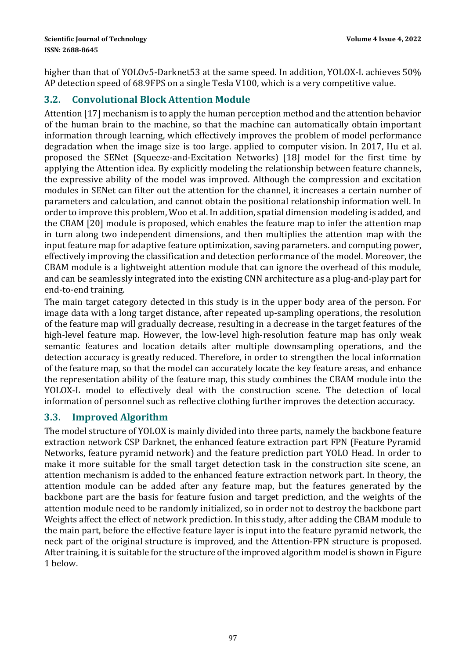higher than that of YOLOv5-Darknet53 at the same speed. In addition, YOLOX-L achieves 50% AP detection speed of 68.9FPS on a single Tesla V100, which is a very competitive value.

### **3.2. Convolutional Block Attention Module**

Attention [17] mechanism is to apply the human perception method and the attention behavior of the human brain to the machine, so that the machine can automatically obtain important information through learning, which effectively improves the problem of model performance degradation when the image size is too large, applied to computer vision. In 2017, Hu et al. proposed the SENet (Squeeze-and-Excitation Networks) [18] model for the first time by applying the Attention idea. By explicitly modeling the relationship between feature channels, the expressive ability of the model was improved. Although the compression and excitation modules in SENet can filter out the attention for the channel, it increases a certain number of parameters and calculation, and cannot obtain the positional relationship information well. In order to improve this problem, Woo et al. In addition, spatial dimension modeling is added, and the CBAM [20] module is proposed, which enables the feature map to infer the attention map in turn along two independent dimensions, and then multiplies the attention map with the input feature map for adaptive feature optimization, saving parameters. and computing power, effectively improving the classification and detection performance of the model. Moreover, the CBAM module is a lightweight attention module that can ignore the overhead of this module, and can be seamlessly integrated into the existing CNN architecture as a plug-and-play part for end-to-end training.

The main target category detected in this study is in the upper body area of the person. For image data with a long target distance, after repeated up-sampling operations, the resolution of the feature map will gradually decrease, resulting in a decrease in the target features of the high-level feature map. However, the low-level high-resolution feature map has only weak semantic features and location details after multiple downsampling operations, and the detection accuracy is greatly reduced. Therefore, in order to strengthen the local information of the feature map, so that the model can accurately locate the key feature areas, and enhance the representation ability of the feature map, this study combines the CBAM module into the YOLOX-L model to effectively deal with the construction scene. The detection of local information of personnel such as reflective clothing further improves the detection accuracy.

#### **3.3. Improved Algorithm**

The model structure of YOLOX is mainly divided into three parts, namely the backbone feature extraction network CSP Darknet, the enhanced feature extraction part FPN (Feature Pyramid Networks, feature pyramid network) and the feature prediction part YOLO Head. In order to make it more suitable for the small target detection task in the construction site scene, an attention mechanism is added to the enhanced feature extraction network part. In theory, the attention module can be added after any feature map, but the features generated by the backbone part are the basis for feature fusion and target prediction, and the weights of the attention module need to be randomly initialized, so in order not to destroy the backbone part Weights affect the effect of network prediction. In this study, after adding the CBAM module to the main part, before the effective feature layer is input into the feature pyramid network, the neck part of the original structure is improved, and the Attention-FPN structure is proposed. After training, it is suitable for the structure of the improved algorithm model is shown in Figure 1 below.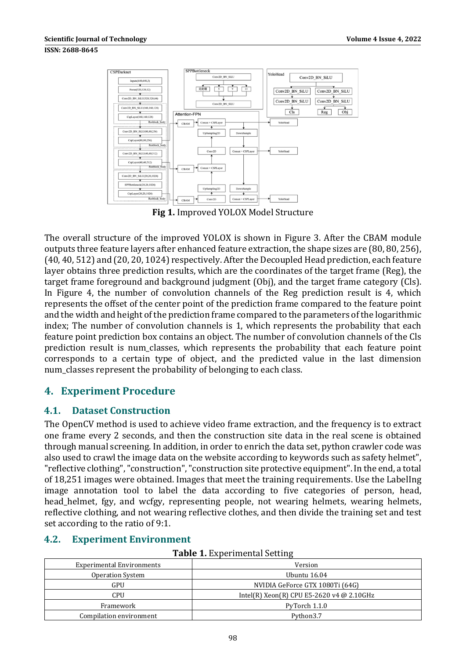

**Fig 1.** Improved YOLOX Model Structure

The overall structure of the improved YOLOX is shown in Figure 3. After the CBAM module outputs three feature layers after enhanced feature extraction, the shape sizes are (80, 80, 256), (40, 40, 512) and (20, 20, 1024) respectively. After the Decoupled Head prediction, each feature layer obtains three prediction results, which are the coordinates of the target frame (Reg), the target frame foreground and background judgment  $(Obj)$ , and the target frame category  $(Cls)$ . In Figure 4, the number of convolution channels of the Reg prediction result is 4, which represents the offset of the center point of the prediction frame compared to the feature point and the width and height of the prediction frame compared to the parameters of the logarithmic index; The number of convolution channels is 1, which represents the probability that each feature point prediction box contains an object. The number of convolution channels of the Cls prediction result is num classes, which represents the probability that each feature point corresponds to a certain type of object, and the predicted value in the last dimension num classes represent the probability of belonging to each class.

## **4. Experiment Procedure**

#### **4.1. Dataset Construction**

The OpenCV method is used to achieve video frame extraction, and the frequency is to extract one frame every 2 seconds, and then the construction site data in the real scene is obtained through manual screening. In addition, in order to enrich the data set, python crawler code was also used to crawl the image data on the website according to keywords such as safety helmet", "reflective clothing", "construction", "construction site protective equipment". In the end, a total of 18,251 images were obtained. Images that meet the training requirements. Use the LabelIng image annotation tool to label the data according to five categories of person, head, head helmet, fgy, and wcfgy, representing people, not wearing helmets, wearing helmets, reflective clothing, and not wearing reflective clothes, and then divide the training set and test set according to the ratio of 9:1.

#### **4.2. Experiment Environment**

|  |  | <b>Table 1. Experimental Setting</b> |  |
|--|--|--------------------------------------|--|
|--|--|--------------------------------------|--|

| <b>Experimental Environments</b> | Version                                   |  |  |
|----------------------------------|-------------------------------------------|--|--|
| <b>Operation System</b>          | Ubuntu 16.04                              |  |  |
| GPU                              | NVIDIA GeForce GTX 1080Ti (64G)           |  |  |
| CPU                              | Intel(R) Xeon(R) CPU E5-2620 v4 @ 2.10GHz |  |  |
| Framework                        | PyTorch 1.1.0                             |  |  |
| Compilation environment          | Python3.7                                 |  |  |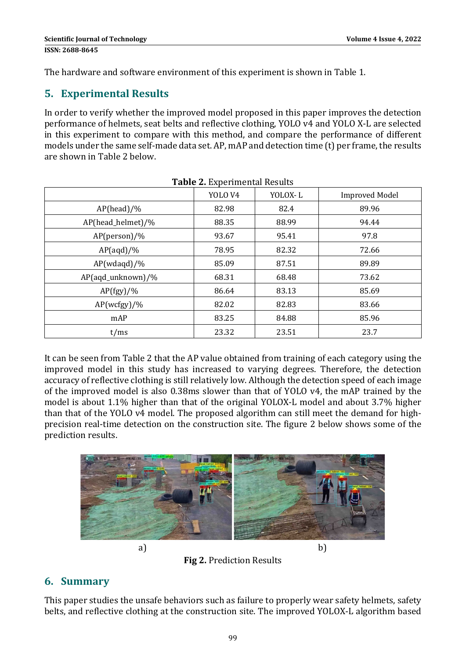The hardware and software environment of this experiment is shown in Table 1.

## **5. Experimental Results**

In order to verify whether the improved model proposed in this paper improves the detection performance of helmets, seat belts and reflective clothing, YOLO v4 and YOLO X-L are selected in this experiment to compare with this method, and compare the performance of different models under the same self-made data set. AP, mAP and detection time (t) per frame, the results are shown in Table 2 helow

|                   | YOLO <sub>V4</sub> | YOLOX-L | <b>Improved Model</b> |
|-------------------|--------------------|---------|-----------------------|
| $AP(head)/\%$     | 82.98              | 82.4    | 89.96                 |
| AP(head_helmet)/% | 88.35              | 88.99   | 94.44                 |
| $AP(person)/\%$   | 93.67              | 95.41   | 97.8                  |
| $AP(aqd)/\%$      | 78.95              | 82.32   | 72.66                 |
| $AP(wdaqd)/\%$    | 85.09              | 87.51   | 89.89                 |
| AP(aqd_unknown)/% | 68.31              | 68.48   | 73.62                 |
| $AP(fgy)/\%$      | 86.64              | 83.13   | 85.69                 |
| AP(wctgy)/%       | 82.02              | 82.83   | 83.66                 |
| mAP               | 83.25              | 84.88   | 85.96                 |
| t/ms              | 23.32              | 23.51   | 23.7                  |

It can be seen from Table 2 that the AP value obtained from training of each category using the improved model in this study has increased to varying degrees. Therefore, the detection accuracy of reflective clothing is still relatively low. Although the detection speed of each image of the improved model is also 0.38ms slower than that of YOLO v4, the mAP trained by the model is about 1.1% higher than that of the original YOLOX-L model and about 3.7% higher than that of the YOLO v4 model. The proposed algorithm can still meet the demand for highprecision real-time detection on the construction site. The figure 2 below shows some of the prediction results.



**Fig 2.** Prediction Results

# **6. Summary**

This paper studies the unsafe behaviors such as failure to properly wear safety helmets, safety belts, and reflective clothing at the construction site. The improved YOLOX-L algorithm based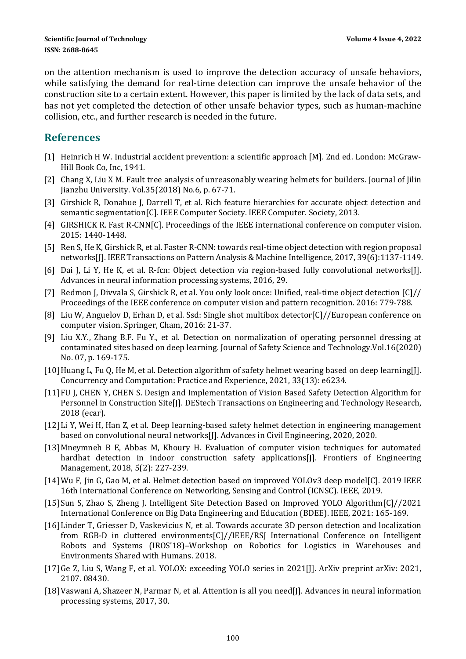on the attention mechanism is used to improve the detection accuracy of unsafe behaviors, while satisfying the demand for real-time detection can improve the unsafe behavior of the construction site to a certain extent. However, this paper is limited by the lack of data sets, and has not yet completed the detection of other unsafe behavior types, such as human-machine collision, etc., and further research is needed in the future.

### **References**

- [1] Heinrich H W. Industrial accident prevention: a scientific approach  $[M]$ . 2nd ed. London: McGraw-Hill Book Co, Inc, 1941.
- [2] Chang X, Liu X M. Fault tree analysis of unreasonably wearing helmets for builders. Journal of Jilin Jianzhu University. Vol.35(2018) No.6, p. 67-71.
- [3] Girshick R, Donahue J, Darrell T, et al. Rich feature hierarchies for accurate object detection and semantic segmentation[C]. IEEE Computer Society. IEEE Computer. Society, 2013.
- [4] GIRSHICK R. Fast R-CNN[C]. Proceedings of the IEEE international conference on computer vision. 2015: 1440‐1448.
- [5] Ren S, He K, Girshick R, et al. Faster R-CNN: towards real-time object detection with region proposal networks[J]. IEEE Transactions on Pattern Analysis & Machine Intelligence, 2017, 39(6):1137-1149.
- [6] Dai J, Li Y, He K, et al. R-fcn: Object detection via region-based fully convolutional networks[J]. Advances in neural information processing systems, 2016, 29.
- [7] Redmon J, Divvala S, Girshick R, et al. You only look once: Unified, real-time object detection  $\left[\frac{C}{I}\right]$ Proceedings of the IEEE conference on computer vision and pattern recognition. 2016: 779-788.
- [8] Liu W, Anguelov D, Erhan D, et al. Ssd: Single shot multibox detector[C]//European conference on computer vision. Springer, Cham, 2016: 21-37.
- [9] Liu X.Y., Zhang B.F. Fu Y., et al. Detection on normalization of operating personnel dressing at contaminated sites based on deep learning. Journal of Safety Science and Technology.Vol.16(2020) No. 07, p. 169-175.
- [10] Huang L, Fu Q, He M, et al. Detection algorithm of safety helmet wearing based on deep learning[J]. Concurrency and Computation: Practice and Experience, 2021, 33(13): e6234.
- [11] FU J, CHEN Y, CHEN S. Design and Implementation of Vision Based Safety Detection Algorithm for Personnel in Construction Site[J]. DEStech Transactions on Engineering and Technology Research, 2018 (ecar).
- [12] Li Y, Wei H, Han Z, et al. Deep learning-based safety helmet detection in engineering management based on convolutional neural networks[J]. Advances in Civil Engineering, 2020, 2020.
- [13] Mneymneh B E, Abbas M, Khoury H. Evaluation of computer vision techniques for automated hardhat detection in indoor construction safety applications[J]. Frontiers of Engineering Management, 2018, 5(2): 227-239.
- [14] Wu F, Jin G, Gao M, et al. Helmet detection based on improved YOLOv3 deep model[C]. 2019 IEEE 16th International Conference on Networking, Sensing and Control (ICNSC). IEEE, 2019.
- [15] Sun S, Zhao S, Zheng J. Intelligent Site Detection Based on Improved YOLO Algorithm[C]//2021 International Conference on Big Data Engineering and Education (BDEE). IEEE, 2021: 165-169.
- [16] Linder T, Griesser D, Vaskevicius N, et al. Towards accurate 3D person detection and localization from RGB-D in cluttered environments $[C]//IEEE/RS$  International Conference on Intelligent Robots and Systems (IROS'18)–Workshop on Robotics for Logistics in Warehouses and Environments Shared with Humans. 2018.
- [17] Ge Z, Liu S, Wang F, et al. YOLOX: exceeding YOLO series in 2021[J]. ArXiv preprint arXiv: 2021, 2107. 08430.
- [18] Vaswani A, Shazeer N, Parmar N, et al. Attention is all you need[J]. Advances in neural information processing systems, 2017, 30.